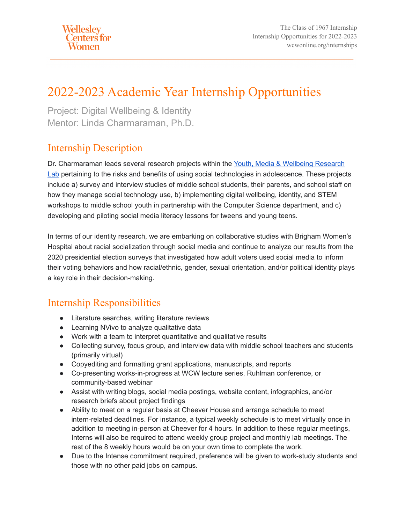# 2022-2023 Academic Year Internship Opportunities

Project: Digital Wellbeing & Identity Mentor: Linda Charmaraman, Ph.D.

### Internship Description

Dr. Charmaraman leads several research projects within the [Youth, Media & Wellbeing Research](http://www.youthmediawellbeing.org) [Lab](http://www.youthmediawellbeing.org) pertaining to the risks and benefits of using social technologies in adolescence. These projects include a) survey and interview studies of middle school students, their parents, and school staff on how they manage social technology use, b) implementing digital wellbeing, identity, and STEM workshops to middle school youth in partnership with the Computer Science department, and c) developing and piloting social media literacy lessons for tweens and young teens.

In terms of our identity research, we are embarking on collaborative studies with Brigham Women's Hospital about racial socialization through social media and continue to analyze our results from the 2020 presidential election surveys that investigated how adult voters used social media to inform their voting behaviors and how racial/ethnic, gender, sexual orientation, and/or political identity plays a key role in their decision-making.

### Internship Responsibilities

- Literature searches, writing literature reviews
- Learning NVivo to analyze qualitative data
- Work with a team to interpret quantitative and qualitative results
- Collecting survey, focus group, and interview data with middle school teachers and students (primarily virtual)
- Copyediting and formatting grant applications, manuscripts, and reports
- Co-presenting works-in-progress at WCW lecture series, Ruhlman conference, or community-based webinar
- Assist with writing blogs, social media postings, website content, infographics, and/or research briefs about project findings
- Ability to meet on a regular basis at Cheever House and arrange schedule to meet intern-related deadlines. For instance, a typical weekly schedule is to meet virtually once in addition to meeting in-person at Cheever for 4 hours. In addition to these regular meetings, Interns will also be required to attend weekly group project and monthly lab meetings. The rest of the 8 weekly hours would be on your own time to complete the work.
- Due to the Intense commitment required, preference will be given to work-study students and those with no other paid jobs on campus.